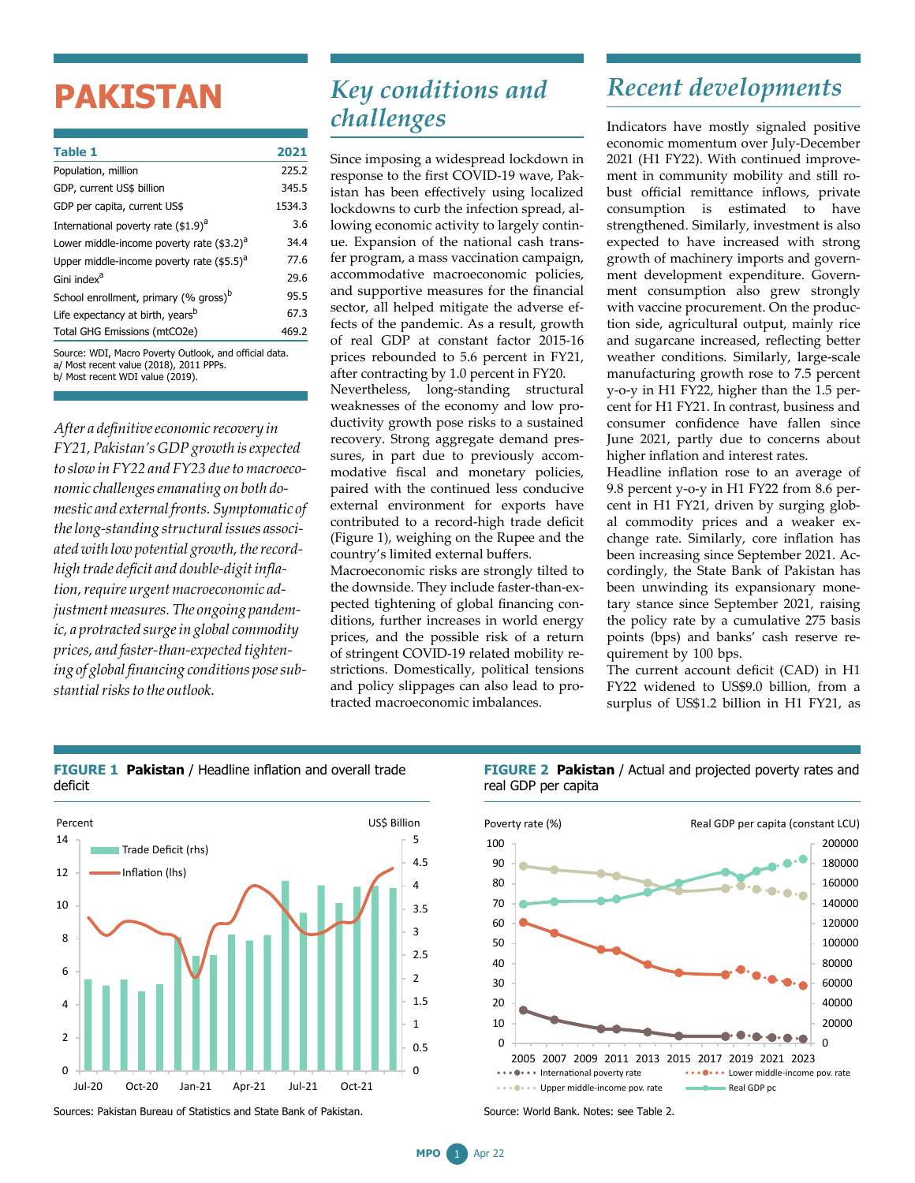# **PAKISTAN**

| <b>Table 1</b>                                         | 2021   |
|--------------------------------------------------------|--------|
| Population, million                                    | 225.2  |
| GDP, current US\$ billion                              | 345.5  |
| GDP per capita, current US\$                           | 1534.3 |
| International poverty rate (\$1.9) <sup>a</sup>        | 3.6    |
| Lower middle-income poverty rate (\$3.2) <sup>a</sup>  | 34.4   |
| Upper middle-income poverty rate $($ \$5.5) $d$        | 77.6   |
| Gini index <sup>a</sup>                                | 29.6   |
| School enrollment, primary (% gross) <sup>b</sup>      | 95.5   |
| Life expectancy at birth, years <sup>b</sup>           | 67.3   |
| Total GHG Emissions (mtCO2e)                           | 469.2  |
| Source: WDI, Macro Poverty Outlook, and official data. |        |

a/ Most recent value (2018), 2011 PPPs. b/ Most recent WDI value (2019).

*After a definitiveeconomic recovery in FY21,Pakistan's GDPgrowth isexpected to slow in* FY22 and FY23 due to macroeco*nomic challengesemanating on both domestic and external fronts. Symptomatic of thelong-standing structural issues associ*ated with low potential growth, the record*high trade deficit and double-digitinflation,require urgentmacroeconomic adjustmentmeasures.The ongoing pandemic, a protracted surgein global commodity prices, and faster-than-expected tightening of global financing conditions posesubstantialrisksto the outlook.*

## *Key conditions and challenges*

Since imposing a widespread lockdown in response to the first COVID-19 wave, Pakistan has been effectively using localized lockdowns to curb the infection spread, allowing economic activity to largely continue. Expansion of the national cash transfer program, a mass vaccination campaign, accommodative macroeconomic policies, and supportive measures for the financial sector, all helped mitigate the adverse effects of the pandemic. As a result, growth of real GDP at constant factor 2015-16 prices rebounded to 5.6 percent in FY21, after contracting by 1.0 percent in FY20.

Nevertheless, long-standing structural weaknesses of the economy and low productivity growth pose risks to a sustained recovery. Strong aggregate demand pressures, in part due to previously accommodative fiscal and monetary policies, paired with the continued less conducive external environment for exports have contributed to a record-high trade deficit (Figure 1), weighing on the Rupee and the country's limited external buffers.

Macroeconomic risks are strongly tilted to the downside. They include faster-than-expected tightening of global financing conditions, further increases in world energy prices, and the possible risk of a return of stringent COVID-19 related mobility restrictions. Domestically, political tensions and policy slippages can also lead to protracted macroeconomic imbalances.

# *Recent developments*

Indicators have mostly signaled positive economic momentum over July-December 2021 (H1 FY22). With continued improvement in community mobility and still robust official remittance inflows, private consumption is estimated to have strengthened. Similarly, investment is also expected to have increased with strong growth of machinery imports and government development expenditure. Government consumption also grew strongly with vaccine procurement. On the production side, agricultural output, mainly rice and sugarcane increased, reflecting better weather conditions. Similarly, large-scale manufacturing growth rose to 7.5 percent y-o-y in H1 FY22, higher than the 1.5 percent for H1 FY21. In contrast, business and consumer confidence have fallen since June 2021, partly due to concerns about higher inflation and interest rates.

Headline inflation rose to an average of 9.8 percent y-o-y in H1 FY22 from 8.6 percent in H1 FY21, driven by surging global commodity prices and a weaker exchange rate. Similarly, core inflation has been increasing since September 2021. Accordingly, the State Bank of Pakistan has been unwinding its expansionary monetary stance since September 2021, raising the policy rate by a cumulative 275 basis points (bps) and banks' cash reserve requirement by 100 bps.

The current account deficit (CAD) in H1 FY22 widened to US\$9.0 billion, from a surplus of US\$1.2 billion in H1 FY21, as



**FIGURE 1 Pakistan** / Headline inflation and overall trade deficit

Sources: Pakistan Bureau of Statistics and State Bank of Pakistan.





Source: World Bank. Notes: see Table 2.